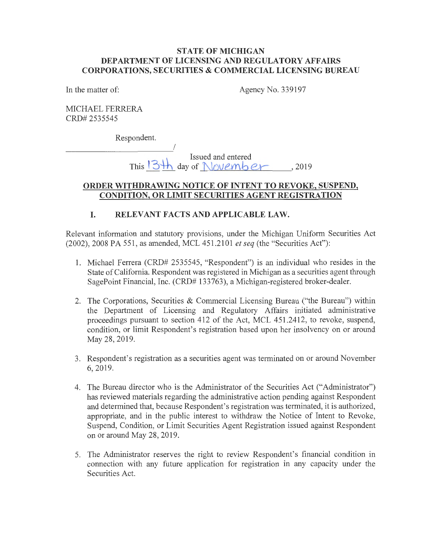### **STATE OF MICHIGAN DEPARTMENT OF LICENSING AND REGULATORY AFFAIRS CORPORATIONS, SECURITIES & COMMERCIAL LICENSING BUREAU**

In the matter of: Agency No. 339197

MICHAEL FERRERA CRD# 2535545

Respondent.

Issued and entered This  $3\hbox{th}$  day of November, 2019

## **ORDER WITHDRAWING NOTICE OF INTENT TO REVOKE, SUSPEND, CONDITION, OR LIMIT SECURITIES AGENT REGISTRATION**

# **I. RELEVANT FACTS AND APPLICABLE LAW.**

Relevant information and statutory provisions, under the Michigan Uniform Securities Act (2002), 2008 PA 551, as amended, MCL 451.2101 *et seq* (the "Securities Act"):

- 1. Michael Ferrera (CRD# 2535545, "Respondent") is an individual who resides in the State of California. Respondent was registered in Michigan as a securities agent through SagePoint Financial, Inc. (CRD# 133763), a Michigan-registered broker-dealer.
- 2. The Corporations, Securities & Commercial Licensing Bureau ("the Bureau") within the Department of Licensing and Regulatory Affairs initiated administrative proceedings pursuant to section 412 of the Act, MCL 451.2412, to revoke, suspend, condition, or limit Respondent's registration based upon her insolvency on or around May 28, 2019.
- 3. Respondent's registration as a securities agent was terminated on or around November 6, 2019.
- 4. The Bureau director who is the Administrator of the Securities Act ("Administrator") has reviewed materials regarding the administrative action pending against Respondent and determined that, because Respondent's registration was terminated, it is authorized, appropriate, and in the public interest to withdraw the Notice of Intent to Revoke, Suspend, Condition, or Limit Securities Agent Registration issued against Respondent on or around May 28, 2019.
- 5. The Administrator reserves the right to review Respondent's financial condition in connection with any future application for registration in any capacity under the Securities Act.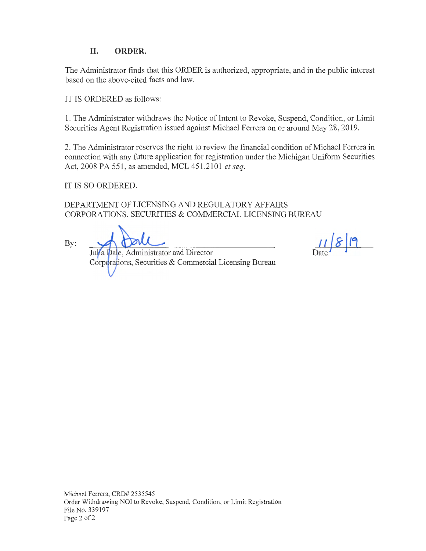## **II. ORDER.**

The Administrator finds that this ORDER is authorized, appropriate, and in the public interest based on the above-cited facts and law.

IT IS ORDERED as follows:

1. The Administrator withdraws the Notice of Intent to Revoke, Suspend, Condition, or Limit Securities Agent Registration issued against Michael Ferrera on or around May 28, 2019.

2. The Administrator reserves the right to review the financial condition of Michael Ferrera in connection with any future application for registration under the Michigan Uniform Securities Act, 2008 PA 551, as amended, MCL 451.2101 *et seq.* 

IT IS SO ORDERED.

DEPARTMENT OF LICENSING AND REGULATORY AFFAIRS CORPORATIONS, SECURITIES & COMMERCIAL LICENSING BUREAU

By:

Julia Dale, Administrator and Director Corporations, Securities & Commercial Licensing Bureau

 $11819$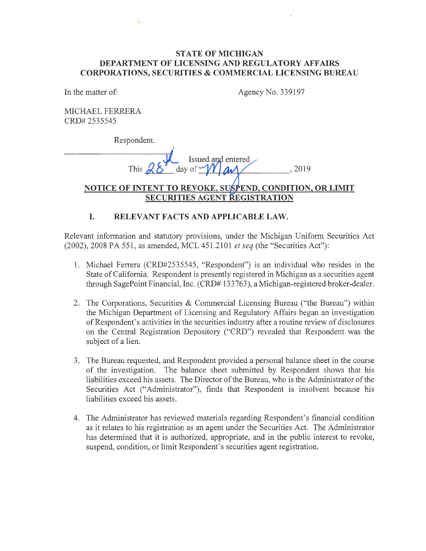#### **STATE OF MICHIGAN DEPARTMENT OF LICENSING AND REGULATORY AFFAIRS CORPORATIONS, SECURITIES & COMMERCIAL LICENSING BUREAU**

In the matter of:

Agency No. 339197

MICHAEL FERRERA CRD# 2535545

Respondent.

Issued and entered day of  $-$ , 2019

## NOTICE OF INTENT TO REVOKE. SUSPEND. CONDITION. OR LIMIT **SECURITIES AGENT GISTRATION**

## **I. RELEVANT FACTS AND APPLICABLE LAW.**

Relevant information and statutory provisions, under the Michigan Uniform Securities Act (2002), 2008 PA 551, as amended, MCL 451.2101 *et seq* (the "Securities Act"):

- 1. Michael Ferrera (CRD#2535545, "Respondent") is an individual who resides in the State of California. Respondent is presently registered in Michigan as a securities agent through SagePoint Financial, Inc. (CRD# 133 763 ), a Michigan-registered broker-dealer.
- 2. The Corporations, Securities & Commercial Licensing Bureau ("the Bureau") within the Michigan Department of Licensing and Regulatory Affairs began an investigation of Respondent's activities in the securities industry after a routine review of disclosures on the Central Registration Depository ("CRD") revealed that Respondent was the subject of a lien.
- 3. The Bureau requested, and Respondent provided a personal balance sheet in the course of the investigation. The balance sheet submitted by Respondent shows that his liabilities exceed his assets. The Director of the Bureau, who is the Administrator of the Securities Act ("Administrator"), finds that Respondent is insolvent because his liabilities exceed his assets.
- 4. The Administrator has reviewed materials regarding Respondent's financial condition as it relates to his registration as an agent under the Securities Act. The Administrator has determined that it is authorized, appropriate, and in the public interest to revoke, suspend, condition, or limit Respondent's securities agent registration.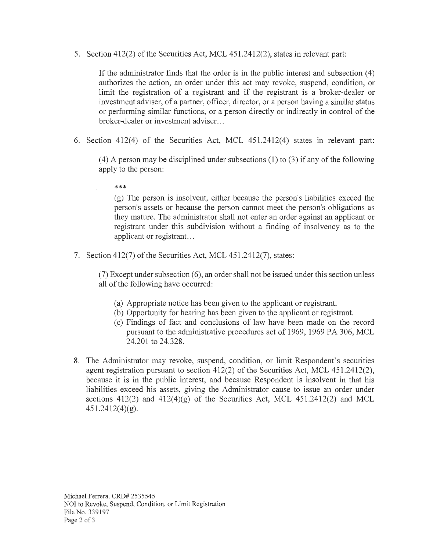5. Section 412(2) of the Securities Act, MCL 451.2412(2), states in relevant part:

If the administrator finds that the order is in the public interest and subsection (4) authorizes the action, an order under this act may revoke, suspend, condition, or limit the registration of a registrant and if the registrant is a broker-dealer or investment adviser, of a partner, officer, director, or a person having a similar status or performing similar functions, or a person directly or indirectly in control of the broker-dealer or investment adviser...

6. Section 412(4) of the Securities Act, MCL 451.2412(4) states in relevant part:

 $(4)$  A person may be disciplined under subsections  $(1)$  to  $(3)$  if any of the following apply to the person:

\*\*\*

(g) The person is insolvent, either because the person's liabilities exceed the person's assets or because the person cannot meet the person's obligations as they mature. The administrator shall not enter an order against an applicant or registrant under this subdivision without a finding of insolvency as to the applicant or registrant...

7. Section 412(7) of the Securities Act, MCL 451.2412(7), states:

 $(7)$  Except under subsection  $(6)$ , an order shall not be issued under this section unless all of the following have occurred:

- (a) Appropriate notice has been given to the applicant or registrant.
- (b) Opportunity for hearing has been given to the applicant or registrant.
- ( c) Findings of fact and conclusions of law have been made on the record pursuant to the administrative procedures act of 1969, 1969 PA 306, MCL 24.201 to 24.328.
- 8. The Administrator may revoke, suspend, condition, or limit Respondent's securities agent registration pursuant to section 412(2) of the Securities Act, MCL 451.2412(2), because it is in the public interest, and because Respondent is insolvent in that his liabilities exceed his assets, giving the Administrator cause to issue an order under sections  $412(2)$  and  $412(4)(g)$  of the Securities Act, MCL  $451.2412(2)$  and MCL  $451.2412(4)(g)$ .